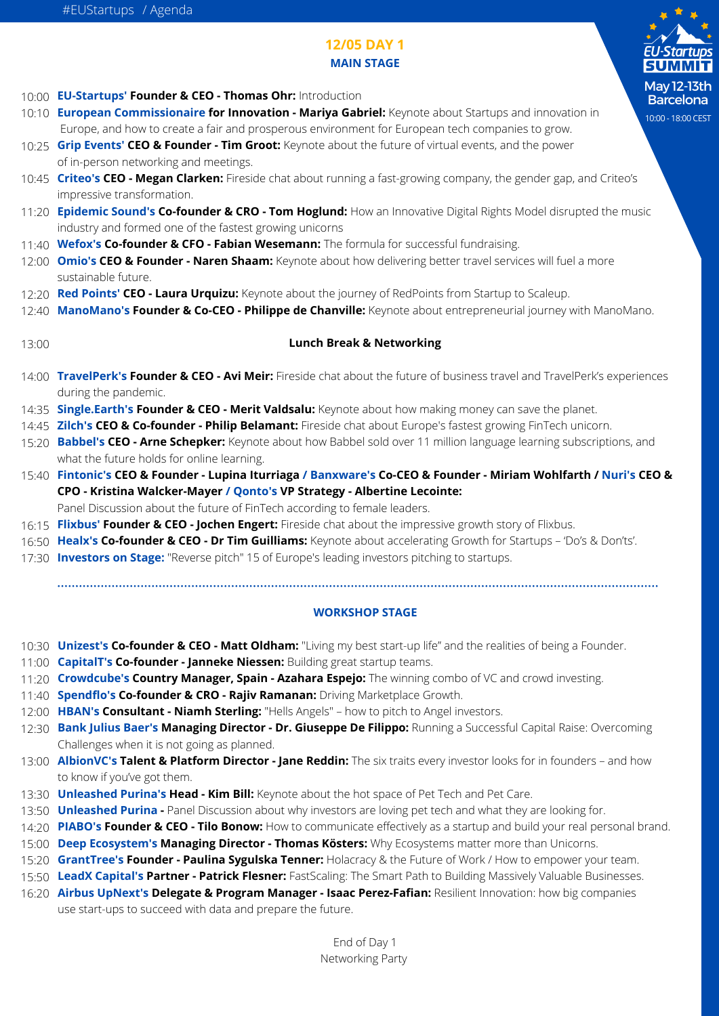

## **12/05 DAY 1 MAIN STAGE**

**EU-Startups' Founder & CEO - Thomas Ohr:** Introduction 10:00

- **European Commissionaire for Innovation Mariya Gabriel:** Keynote about Startups and innovation in 10:10 Europe, and how to create a fair and prosperous environment for European tech companies to grow.
- 10:25 **Grip Events' CEO & Founder Tim Groot:** Keynote about the future of virtual events, and the power of in-person networking and meetings.
- **Criteo's CEO Megan Clarken:** Fireside chat about running a fast-growing company, the gender gap, and Criteo's 10:45 impressive transformation.
- **Epidemic Sound's Co-founder & CRO Tom Hoglund:** How an Innovative Digital Rights Model disrupted the music 11:20 industry and formed one of the fastest growing unicorns
- **Wefox's Co-founder & CFO Fabian Wesemann:** The formula for successful fundraising. 11:40
- **Omio's CEO & Founder Naren Shaam:** Keynote about how delivering better travel services will fuel a more 12:00 sustainable future.
- **Red Points' CEO Laura Urquizu:** Keynote about the journey of RedPoints from Startup to Scaleup. 12:20
- **ManoMano's Founder & Co-CEO Philippe de Chanville:** Keynote about entrepreneurial journey with ManoMano. 12:40

#### **Lunch Break & Networking** 13:00

- **TravelPerk's Founder & CEO Avi Meir:** Fireside chat about the future of business travel and TravelPerk's experiences 14:00 during the pandemic.
- 14:35 **Single.Earth's Founder & CEO Merit Valdsalu:** Keynote about how making money can save the planet.
- **Zilch's CEO & Co-founder Philip Belamant:** Fireside chat about Europe's fastest growing FinTech unicorn. 14:45
- **Babbel's CEO Arne Schepker:** Keynote about how Babbel sold over 11 million language learning subscriptions, and 15:20 what the future holds for online learning.
- **Fintonic's CEO & Founder Lupina Iturriaga / Banxware's Co-CEO & Founder Miriam Wohlfarth / Nuri's CEO &** 15:40 **CPO - Kristina Walcker-Mayer / Qonto's VP Strategy - [Albertine Lecointe](https://www.linkedin.com/in/albertinelecointe/):**

Panel Discussion about the future of FinTech according to female leaders.

- **Flixbus' Founder & CEO Jochen Engert:** Fireside chat about the impressive growth story of Flixbus. 16:15
- **Healx's Co-founder & CEO Dr Tim Guilliams:** Keynote about accelerating Growth for Startups 'Do's & Don'ts'. 16:50
- **Investors on Stage:** "Reverse pitch" 15 of Europe's leading investors pitching to startups. 17:30

### **WORKSHOP STAGE**

- **Unizest's Co-founder & CEO Matt Oldham:** "Living my best start-up life" and the realities of being a Founder. 10:30
- **CapitalT's Co-founder Janneke Niessen:** Building great startup teams. 11:00
- **Crowdcube's Country Manager, Spain Azahara Espejo:** The winning combo of VC and crowd investing. 11:20
- **Spendflo's Co-founder & CRO Rajiv Ramanan:** Driving Marketplace Growth. 11:40
- **HBAN's Consultant Niamh Sterling:** "Hells Angels" how to pitch to Angel investors. 12:00
- **Bank Julius Baer's Managing Director Dr. Giuseppe De Filippo:** Running a Successful Capital Raise: Overcoming 12:30 Challenges when it is not going as planned.
- **AlbionVC's Talent & Platform Director Jane Reddin:** The six traits every investor looks for in founders and how 13:00 to know if you've got them.
- **Unleashed Purina's Head Kim Bill:** Keynote about the hot space of Pet Tech and Pet Care. 13:30
- **Unleashed Purina -** Panel Discussion about why investors are loving pet tech and what they are looking for. 13:50
- **PIABO's Founder & CEO Tilo Bonow:** How to communicate effectively as a startup and build your real personal brand. 14:20
- **Deep Ecosystem's Managing Director Thomas Kösters:** Why Ecosystems matter more than Unicorns. 15:00
- **GrantTree's Founder Paulina Sygulska Tenner:** Holacracy & the Future of Work / How to empower your team. 15:20
- **LeadX Capital's Partner Patrick Flesner:** FastScaling: The Smart Path to Building Massively Valuable Businesses. 15:50
- **Airbus UpNext's Delegate & Program Manager Isaac Perez-Fafian:** Resilient Innovation: how big companies 16:20use start-ups to succeed with data and prepare the future.

End of Day 1 Networking Party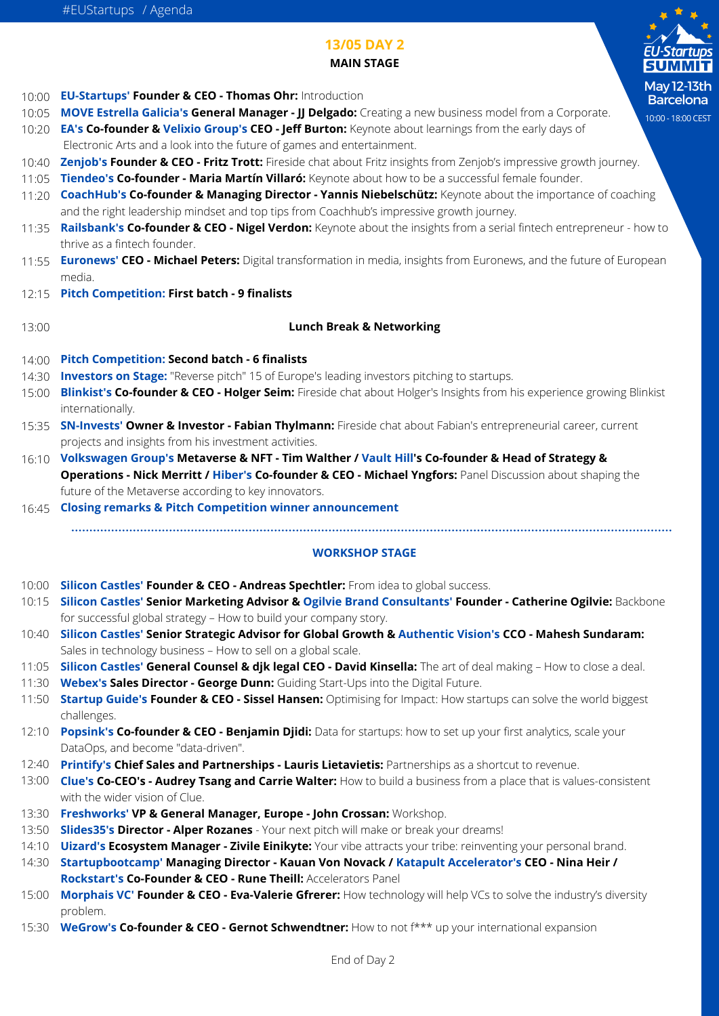

# **MAIN STAGE**

- **EU-Startups' Founder & CEO Thomas Ohr:** Introduction 10:00 **MOVE Estrella Galicia's General Manager - JJ Delgado:** Creating a new business model from a Corporate. 10:05 **EA's Co-founder & Velixio Group's CEO - Jeff Burton:** Keynote about learnings from the early days of 10:20 Electronic Arts and a look into the future of games and entertainment. **Zenjob's Founder & CEO - Fritz Trott:** Fireside chat about Fritz insights from Zenjob's impressive growth journey. 10:40 **Tiendeo's Co-founder - Maria Martín Villaró:** Keynote about how to be a successful female founder. 11:05 **CoachHub's Co-founder & Managing Director - Yannis Niebelschütz:** Keynote about the importance of coaching 11:20 and the right leadership mindset and top tips from Coachhub's impressive growth journey. **Railsbank's Co-founder & CEO - Nigel Verdon:** Keynote about the insights from a serial fintech entrepreneur - how to 11:35 thrive as a fintech founder. **Euronews' CEO - Michael Peters:** Digital transformation in media, insights from Euronews, and the future of European 11:55 media. **Pitch Competition: First batch - 9 finalists**  12:15
- 13:00

### **Lunch Break & Networking**

**13/05 DAY 2**

- **Pitch Competition: Second batch 6 finalists**  14:00
- **Investors on Stage:** "Reverse pitch" 15 of Europe's leading investors pitching to startups. 14:30
- **Blinkist's Co-founder & CEO Holger Seim:** Fireside chat about Holger's Insights from his experience growing Blinkist 15:00 internationally.
- **SN-Invests' Owner & Investor Fabian Thylmann:** Fireside chat about Fabian's entrepreneurial career, current 15:35 projects and insights from his investment activities.
- **Volkswagen Group's Metaverse & NFT Tim Walther / Vault Hill's Co-founder & Head of Strategy &** 16:10 **Operations - Nick Merritt / Hiber's Co-founder & CEO - Michael Yngfors:** Panel Discussion about shaping the future of the Metaverse according to key innovators.
- **Closing remarks & Pitch Competition winner announcement** 16:45

### **WORKSHOP STAGE**

- **Silicon Castles' Founder & CEO Andreas Spechtler:** From idea to global success. 10:00
- **Silicon Castles' Senior Marketing Advisor & Ogilvie Brand Consultants' Founder Catherine Ogilvie:** Backbone 10:15 for successful global strategy – How to build your company story.
- **Silicon Castles' Senior Strategic Advisor for Global Growth & Authentic Vision's CCO Mahesh Sundaram:** 10:40 Sales in technology business – How to sell on a global scale.
- **Silicon Castles' General Counsel & djk legal CEO David Kinsella:** The art of deal making How to close a deal. 11:05
- **Webex's Sales Director George Dunn:** Guiding Start-Ups into the Digital Future. 11:30
- **Startup Guide's Founder & CEO Sissel Hansen:** Optimising for Impact: How startups can solve the world biggest 11:50 challenges.
- **Popsink's Co-founder & CEO Benjamin Djidi:** Data for startups: how to set up your first analytics, scale your 12:10 DataOps, and become "data-driven".
- **Printify's Chief Sales and Partnerships Lauris Lietavietis:** Partnerships as a shortcut to revenue. 12:40
- **Clue's Co-CEO's Audrey Tsang and Carrie Walter:** How to build a business from a place that is values-consistent 13:00 with the wider vision of Clue.
- **Freshworks' VP & General Manager, Europe John Crossan:** Workshop. 13:30
- 13:50 **Slides35's Director Alper Rozanes** Your next pitch will make or break your dreams!
- 14:10 **Uizard's Ecosystem Manager Zivile Einikyte:** Your vibe attracts your tribe: reinventing your personal brand.
- **Startupbootcamp' Managing Director Kauan Von Novack / Katapult Accelerator's CEO Nina Heir /** 14:30 **Rockstart's Co-Founder & CEO - Rune Theill:** Accelerators Panel
- **Morphais VC' Founder & CEO Eva-Valerie Gfrerer:** How technology will help VCs to solve the industry's diversity 15:00 problem.
- 15:30 **WeGrow's Co-founder & CEO Gernot Schwendtner:** How to not f\*\*\* up your international expansion